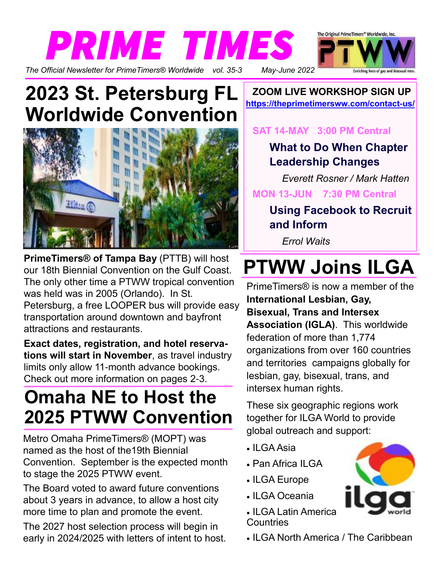

### **2023 St. Petersburg FL Worldwide Convention**



**PrimeTimers® of Tampa Bay** (PTTB) will host our 18th Biennial Convention on the Gulf Coast. The only other time a PTWW tropical convention was held was in 2005 (Orlando). In St. Petersburg, a free LOOPER bus will provide easy transportation around downtown and bayfront attractions and restaurants.

**Exact dates, registration, and hotel reservations will start in November**, as travel industry limits only allow 11-month advance bookings. Check out more information on pages 2-3.

### **Omaha NE to Host the 2025 PTWW Convention**

Metro Omaha PrimeTimers® (MOPT) was named as the host of the19th Biennial Convention. September is the expected month to stage the 2025 PTWW event.

The Board voted to award future conventions about 3 years in advance, to allow a host city more time to plan and promote the event.

The 2027 host selection process will begin in early in 2024/2025 with letters of intent to host.

**ZOOM LIVE WORKSHOP SIGN UP https://theprimetimersww.com/contact-us/**

#### **SAT 14-MAY 3:00 PM Central**

### **What to Do When Chapter Leadership Changes**

*Everett Rosner / Mark Hatten*   **MON 13-JUN 7:30 PM Central**

**Using Facebook to Recruit and Inform**

*Errol Waits*

# **PTWW Joins ILGA**

PrimeTimers® is now a member of the **International Lesbian, Gay, Bisexual, Trans and Intersex Association (IGLA)**. This worldwide federation of more than 1,774 organizations from over 160 countries and territories campaigns globally for lesbian, gay, bisexual, trans, and intersex human rights.

These six geographic regions work together for ILGA World to provide global outreach and support:

- ILGA Asia
- Pan Africa ILGA
- ILGA Europe
- ILGA Oceania
- ILGA Latin America **Countries**



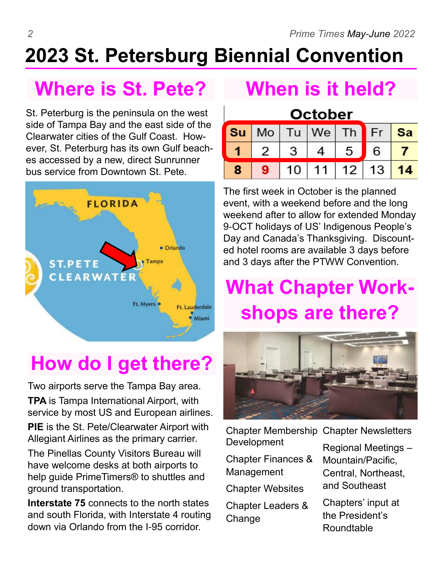# **2023 St. Petersburg Biennial Convention**

### **Where is St. Pete?**

St. Peterburg is the peninsula on the west side of Tampa Bay and the east side of the Clearwater cities of the Gulf Coast. However, St. Peterburg has its own Gulf beaches accessed by a new, direct Sunrunner bus service from Downtown St. Pete.



### **How do I get there?**

Two airports serve the Tampa Bay area. **TPA** is Tampa International Airport, with service by most US and European airlines.

**PIE** is the St. Pete/Clearwater Airport with Allegiant Airlines as the primary carrier.

The Pinellas County Visitors Bureau will have welcome desks at both airports to help guide PrimeTimers® to shuttles and ground transportation.

**Interstate 75** connects to the north states and south Florida, with Interstate 4 routing down via Orlando from the I-95 corridor.

### **When is it held?**

#### **October** Tu We **Su** Mo **Sa** Th Fr 1 2 3 5  $\overline{7}$ 4 6  $14$ 8  $10<sup>1</sup>$ 11 12 13

The first week in October is the planned event, with a weekend before and the long weekend after to allow for extended Monday 9-OCT holidays of US' Indigenous People's Day and Canada's Thanksgiving. Discounted hotel rooms are available 3 days before and 3 days after the PTWW Convention.

### **What Chapter Workshops are there?**



Chapter Membership Chapter Newsletters Development

Chapter Finances & Management

Chapter Websites

Chapter Leaders & **Change** 

Regional Meetings –

Mountain/Pacific, Central, Northeast, and Southeast

Chapters' input at the President's Roundtable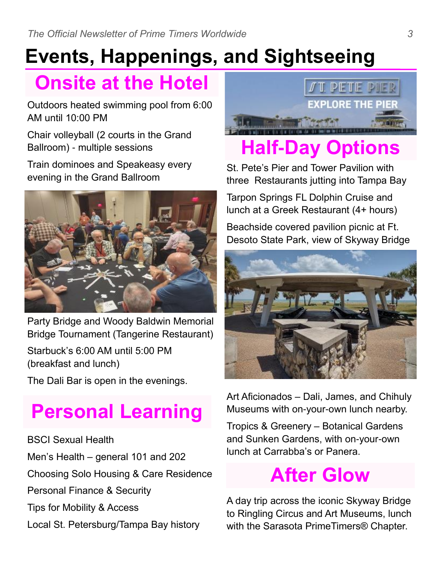# **Events, Happenings, and Sightseeing**

### **Onsite at the Hotel**

Outdoors heated swimming pool from 6:00 AM until 10:00 PM

Chair volleyball (2 courts in the Grand Ballroom) - multiple sessions

Train dominoes and Speakeasy every evening in the Grand Ballroom



Party Bridge and Woody Baldwin Memorial Bridge Tournament (Tangerine Restaurant) Starbuck's 6:00 AM until 5:00 PM (breakfast and lunch)

The Dali Bar is open in the evenings.

# **Personal Learning**

BSCI Sexual Health Men's Health – general 101 and 202 Choosing Solo Housing & Care Residence Personal Finance & Security Tips for Mobility & Access Local St. Petersburg/Tampa Bay history



# **Half-Day Options**

St. Pete's Pier and Tower Pavilion with three Restaurants jutting into Tampa Bay

Tarpon Springs FL Dolphin Cruise and lunch at a Greek Restaurant (4+ hours)

Beachside covered pavilion picnic at Ft. Desoto State Park, view of Skyway Bridge



Art Aficionados – Dali, James, and Chihuly Museums with on-your-own lunch nearby.

Tropics & Greenery – Botanical Gardens and Sunken Gardens, with on-your-own lunch at Carrabba's or Panera.

### **After Glow**

A day trip across the iconic Skyway Bridge to Ringling Circus and Art Museums, lunch with the Sarasota PrimeTimers® Chapter.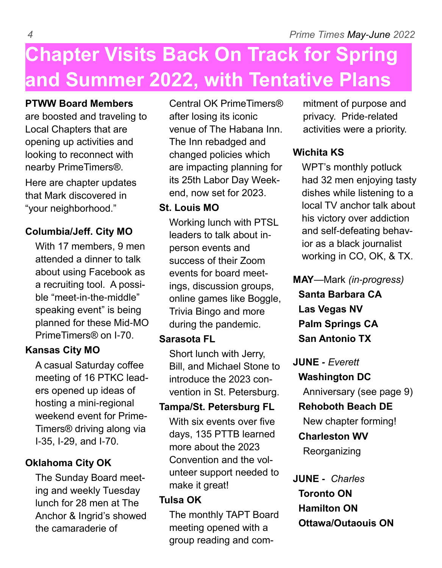## **Chapter Visits Back On Track for Spring and Summer 2022, with Tentative Plans**

#### **PTWW Board Members**

are boosted and traveling to Local Chapters that are opening up activities and looking to reconnect with nearby PrimeTimers®.

Here are chapter updates that Mark discovered in "your neighborhood."

#### **Columbia/Jeff. City MO**

With 17 members, 9 men attended a dinner to talk about using Facebook as a recruiting tool. A possible "meet-in-the-middle" speaking event" is being planned for these Mid-MO PrimeTimers® on I-70.

#### **Kansas City MO**

A casual Saturday coffee meeting of 16 PTKC leaders opened up ideas of hosting a mini-regional weekend event for Prime-Timers® driving along via I-35, I-29, and I-70.

#### **Oklahoma City OK**

The Sunday Board meeting and weekly Tuesday lunch for 28 men at The Anchor & Ingrid's showed the camaraderie of

Central OK PrimeTimers® after losing its iconic venue of The Habana Inn. The Inn rebadged and changed policies which are impacting planning for its 25th Labor Day Weekend, now set for 2023.

#### **St. Louis MO**

Working lunch with PTSL leaders to talk about inperson events and success of their Zoom events for board meetings, discussion groups, online games like Boggle, Trivia Bingo and more during the pandemic.

#### **Sarasota FL**

Short lunch with Jerry, Bill, and Michael Stone to introduce the 2023 convention in St. Petersburg.

#### **Tampa/St. Petersburg FL**

With six events over five days, 135 PTTB learned more about the 2023 Convention and the volunteer support needed to make it great!

#### **Tulsa OK**

The monthly TAPT Board meeting opened with a group reading and commitment of purpose and privacy. Pride-related activities were a priority.

### **Wichita KS**

WPT's monthly potluck had 32 men enjoying tasty dishes while listening to a local TV anchor talk about his victory over addiction and self-defeating behavior as a black journalist working in CO, OK, & TX.

**MAY**—Mark *(in-progress)*  **Santa Barbara CA Las Vegas NV Palm Springs CA San Antonio TX**

**JUNE** *- Everett*  **Washington DC** Anniversary (see page 9)  **Rehoboth Beach DE**

New chapter forming!

### **Charleston WV**

Reorganizing

### **JUNE -** *Charles*  **Toronto ON Hamilton ON Ottawa/Outaouis ON**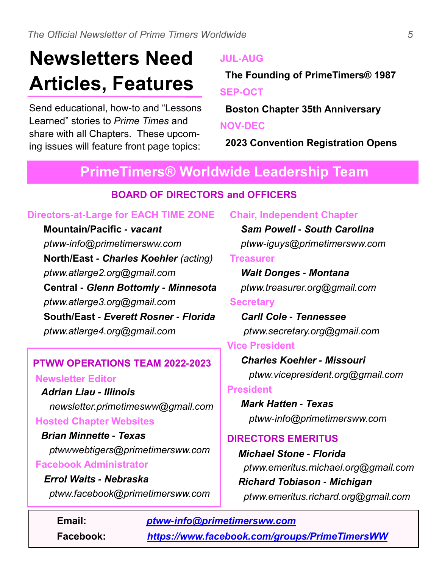# **Newsletters Need Articles, Features**

Send educational, how-to and "Lessons Learned" stories to *Prime Times* and share with all Chapters. These upcoming issues will feature front page topics:

#### **JUL-AUG**

 **The Founding of PrimeTimers® 1987 SEP-OCT**

 **Boston Chapter 35th Anniversary NOV-DEC**

 **2023 Convention Registration Opens**

### **PrimeTimers® Worldwide Leadership Team**

#### **BOARD OF DIRECTORS and OFFICERS**

#### **Directors-at-Large for EACH TIME ZONE**

 **Mountain/Pacific** *- vacant ptww-info@primetimersww.com* **North/East** *- Charles Koehler (acting) ptww.atlarge2.org@gmail.com* **Central -** *Glenn Bottomly - Minnesota ptww.atlarge3.org@gmail.com* **South/East** *- Everett Rosner - Florida ptww.atlarge4.org@gmail.com*

#### **PTWW OPERATIONS TEAM 2022-2023**

 **Newsletter Editor**

 *Adrian Liau - Illinois newsletter.primetimesww@gmail.com*  **Hosted Chapter Websites** 

 *Brian Minnette - Texas ptwwwebtigers@primetimersww.com*  **Facebook Administrator**

 *Errol Waits - Nebraska ptww.facebook@primetimersww.com*

 *Sam Powell - South Carolina ptww-iguys@primetimersww.com* **Treasurer** *Walt Donges - Montana*

**Chair, Independent Chapter**

 *ptww.treasurer.org@gmail.com*

#### **Secretary**

 *Carll Cole - Tennessee ptww.secretary.org@gmail.com*

#### **Vice President**

*Charles Koehler - Missouri ptww.vicepresident.org@gmail.com*

#### **President**

*Mark Hatten - Texas ptww-info@primetimersww.com*

#### **DIRECTORS EMERITUS**

 *Michael Stone - Florida ptww.emeritus.michael.org@gmail.com Richard Tobiason - Michigan ptww.emeritus.richard.org@gmail.com*

**Email:** *ptww-info@primetimersww.com* **Facebook:** *https://www.facebook.com/groups/PrimeTimersWW*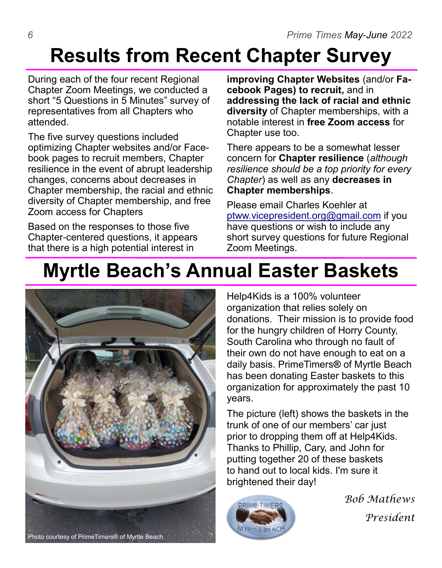### **Results from Recent Chapter Survey**

During each of the four recent Regional Chapter Zoom Meetings, we conducted a short "5 Questions in 5 Minutes" survey of representatives from all Chapters who attended.

The five survey questions included optimizing Chapter websites and/or Facebook pages to recruit members, Chapter resilience in the event of abrupt leadership changes, concerns about decreases in Chapter membership, the racial and ethnic diversity of Chapter membership, and free Zoom access for Chapters

Based on the responses to those five Chapter-centered questions, it appears that there is a high potential interest in

**improving Chapter Websites** (and/or **Facebook Pages) to recruit,** and in **addressing the lack of racial and ethnic diversity** of Chapter memberships, with a notable interest in **free Zoom access** for Chapter use too.

There appears to be a somewhat lesser concern for **Chapter resilience** (*although resilience should be a top priority for every Chapter*) as well as any **decreases in Chapter memberships**.

Please email Charles Koehler at ptww.vicepresident.org@gmail.com if you have questions or wish to include any short survey questions for future Regional Zoom Meetings.

### **Myrtle Beach's Annual Easter Baskets**



Help4Kids is a 100% volunteer organization that relies solely on donations. Their mission is to provide food for the hungry children of Horry County, South Carolina who through no fault of their own do not have enough to eat on a daily basis. PrimeTimers**®** of Myrtle Beach has been donating Easter baskets to this organization for approximately the past 10 years.

The picture (left) shows the baskets in the trunk of one of our members' car just prior to dropping them off at Help4Kids. Thanks to Phillip, Cary, and John for putting together 20 of these baskets to hand out to local kids. I'm sure it brightened their day!



*Bob Mathews President*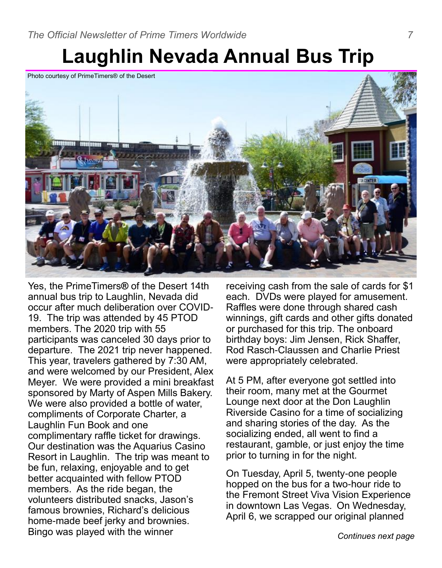### **Laughlin Nevada Annual Bus Trip**

Photo courtesy of PrimeTimers® of the Desert



Yes, the PrimeTimers**®** of the Desert 14th annual bus trip to Laughlin, Nevada did occur after much deliberation over COVID-19. The trip was attended by 45 PTOD members. The 2020 trip with 55 participants was canceled 30 days prior to departure. The 2021 trip never happened. This year, travelers gathered by 7:30 AM, and were welcomed by our President, Alex Meyer. We were provided a mini breakfast sponsored by Marty of Aspen Mills Bakery. We were also provided a bottle of water, compliments of Corporate Charter, a Laughlin Fun Book and one complimentary raffle ticket for drawings. Our destination was the Aquarius Casino Resort in Laughlin. The trip was meant to be fun, relaxing, enjoyable and to get better acquainted with fellow PTOD members. As the ride began, the volunteers distributed snacks, Jason's famous brownies, Richard's delicious home-made beef jerky and brownies. Bingo was played with the winner

receiving cash from the sale of cards for \$1 each. DVDs were played for amusement. Raffles were done through shared cash winnings, gift cards and other gifts donated or purchased for this trip. The onboard birthday boys: Jim Jensen, Rick Shaffer, Rod Rasch-Claussen and Charlie Priest were appropriately celebrated.

At 5 PM, after everyone got settled into their room, many met at the Gourmet Lounge next door at the Don Laughlin Riverside Casino for a time of socializing and sharing stories of the day. As the socializing ended, all went to find a restaurant, gamble, or just enjoy the time prior to turning in for the night.

On Tuesday, April 5, twenty-one people hopped on the bus for a two-hour ride to the Fremont Street Viva Vision Experience in downtown Las Vegas. On Wednesday, April 6, we scrapped our original planned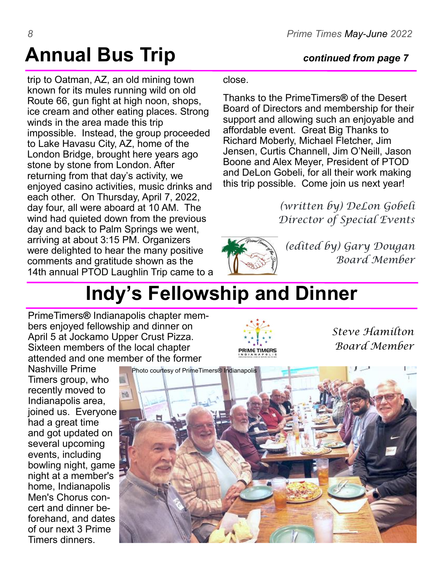# **Annual Bus Trip** *continued from page 7*

trip to Oatman, AZ, an old mining town known for its mules running wild on old Route 66, gun fight at high noon, shops, ice cream and other eating places. Strong winds in the area made this trip impossible. Instead, the group proceeded to Lake Havasu City, AZ, home of the London Bridge, brought here years ago stone by stone from London. After returning from that day's activity, we enjoyed casino activities, music drinks and each other. On Thursday, April 7, 2022, day four, all were aboard at 10 AM. The wind had quieted down from the previous day and back to Palm Springs we went, arriving at about 3:15 PM. Organizers were delighted to hear the many positive comments and gratitude shown as the 14th annual PTOD Laughlin Trip came to a

#### close.

Thanks to the PrimeTimers**®** of the Desert Board of Directors and membership for their support and allowing such an enjoyable and affordable event. Great Big Thanks to Richard Moberly, Michael Fletcher, Jim Jensen, Curtis Channell, Jim O'Neill, Jason Boone and Alex Meyer, President of PTOD and DeLon Gobeli, for all their work making this trip possible. Come join us next year!

> *(written by) DeLon Gobeli Director of Special Events*



**RIME TIMERS** 

*(edited by) Gary Dougan Board Member* 

*Steve Hamilton*

*Board Member*

### **Indy's Fellowship and Dinner**

PrimeTimers**®** Indianapolis chapter members enjoyed fellowship and dinner on April 5 at Jockamo Upper Crust Pizza. Sixteen members of the local chapter attended and one member of the former

Nashville Prime Timers group, who recently moved to Indianapolis area, joined us. Everyone had a great time and got updated on several upcoming events, including bowling night, game night at a member's home, Indianapolis Men's Chorus concert and dinner beforehand, and dates of our next 3 Prime Timers dinners.

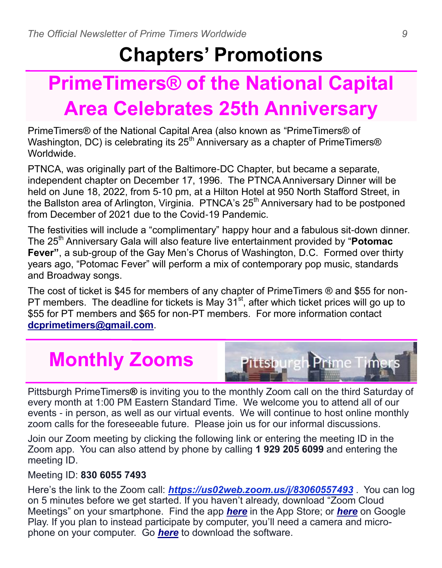### **Chapters' Promotions**

# **PrimeTimers® of the National Capital Area Celebrates 25th Anniversary**

PrimeTimers® of the National Capital Area (also known as "PrimeTimers® of Washington, DC) is celebrating its  $25<sup>th</sup>$  Anniversary as a chapter of PrimeTimers<sup>®</sup> Worldwide.

PTNCA, was originally part of the Baltimore-DC Chapter, but became a separate, independent chapter on December 17, 1996. The PTNCA Anniversary Dinner will be held on June 18, 2022, from 5-10 pm, at a Hilton Hotel at 950 North Stafford Street, in the Ballston area of Arlington, Virginia. PTNCA's 25<sup>th</sup> Anniversary had to be postponed from December of 2021 due to the Covid-19 Pandemic.

The festivities will include a "complimentary" happy hour and a fabulous sit-down dinner. The 25<sup>th</sup> Anniversary Gala will also feature live entertainment provided by "**Potomac Fever"**, a sub-group of the Gay Men's Chorus of Washington, D.C. Formed over thirty years ago, "Potomac Fever" will perform a mix of contemporary pop music, standards and Broadway songs.

The cost of ticket is \$45 for members of any chapter of PrimeTimers ® and \$55 for non-PT members. The deadline for tickets is May  $31^{st}$ , after which ticket prices will go up to \$55 for PT members and \$65 for non-PT members. For more information contact **dcprimetimers@gmail.com**.

## **Monthly Zooms**



Pittsburgh PrimeTimers**®** is inviting you to the monthly Zoom call on the third Saturday of every month at 1:00 PM Eastern Standard Time. We welcome you to attend all of our events - in person, as well as our virtual events. We will continue to host online monthly zoom calls for the foreseeable future. Please join us for our informal discussions.

Join our Zoom meeting by clicking the following link or entering the meeting ID in the Zoom app. You can also attend by phone by calling **1 929 205 6099** and entering the meeting ID.

#### Meeting ID: **830 6055 7493**

Here's the link to the Zoom call: *https://us02web.zoom.us/j/83060557493* . You can log on 5 minutes before we get started. If you haven't already, download "Zoom Cloud Meetings" on your smartphone. Find the app *here* in the App Store; or *here* on Google Play. If you plan to instead participate by computer, you'll need a camera and microphone on your computer. Go *here* to download the software.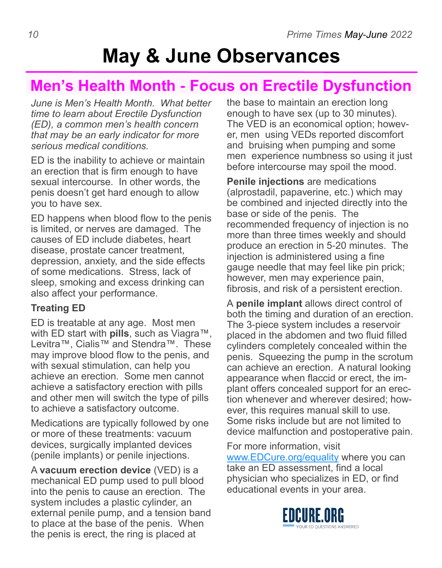### **May & June Observances**

### **Men's Health Month - Focus on Erectile Dysfunction**

*June is Men's Health Month. What better time to learn about Erectile Dysfunction (ED), a common men's health concern that may be an early indicator for more serious medical conditions.*

ED is the inability to achieve or maintain an erection that is firm enough to have sexual intercourse. In other words, the penis doesn't get hard enough to allow you to have sex.

ED happens when blood flow to the penis is limited, or nerves are damaged. The causes of ED include diabetes, heart disease, prostate cancer treatment, depression, anxiety, and the side effects of some medications. Stress, lack of sleep, smoking and excess drinking can also affect your performance.

#### **Treating ED**

ED is treatable at any age. Most men with ED start with **pills**, such as Viagra™, Levitra™, Cialis™ and Stendra™. These may improve blood flow to the penis, and with sexual stimulation, can help you achieve an erection. Some men cannot achieve a satisfactory erection with pills and other men will switch the type of pills to achieve a satisfactory outcome.

Medications are typically followed by one or more of these treatments: vacuum devices, surgically implanted devices (penile implants) or penile injections.

A **vacuum erection device** (VED) is a mechanical ED pump used to pull blood into the penis to cause an erection. The system includes a plastic cylinder, an external penile pump, and a tension band to place at the base of the penis. When the penis is erect, the ring is placed at

the base to maintain an erection long enough to have sex (up to 30 minutes). The VED is an economical option; however, men using VEDs reported discomfort and bruising when pumping and some men experience numbness so using it just before intercourse may spoil the mood.

**Penile injections** are medications (alprostadil, papaverine, etc.) which may be combined and injected directly into the base or side of the penis. The recommended frequency of injection is no more than three times weekly and should produce an erection in 5-20 minutes. The injection is administered using a fine gauge needle that may feel like pin prick; however, men may experience pain, fibrosis, and risk of a persistent erection.

A **penile implant** allows direct control of both the timing and duration of an erection. The 3-piece system includes a reservoir placed in the abdomen and two fluid filled cylinders completely concealed within the penis. Squeezing the pump in the scrotum can achieve an erection. A natural looking appearance when flaccid or erect, the implant offers concealed support for an erection whenever and wherever desired; however, this requires manual skill to use. Some risks include but are not limited to device malfunction and postoperative pain.

For more information, visit

www.EDCure.org/equality where you can take an ED assessment, find a local physician who specializes in ED, or find educational events in your area.

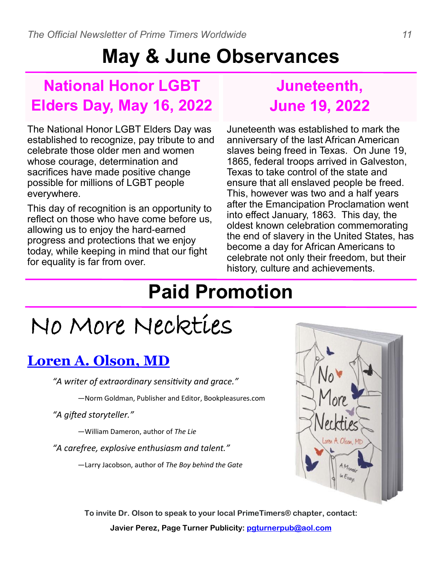### **May & June Observances**

### **National Honor LGBT Elders Day, May 16, 2022**

### **Juneteenth, June 19, 2022**

The National Honor LGBT Elders Day was established to recognize, pay tribute to and celebrate those older men and women whose courage, determination and sacrifices have made positive change possible for millions of LGBT people everywhere.

This day of recognition is an opportunity to reflect on those who have come before us, allowing us to enjoy the hard-earned progress and protections that we enjoy today, while keeping in mind that our fight for equality is far from over.

Juneteenth was established to mark the anniversary of the last African American slaves being freed in Texas. On June 19, 1865, federal troops arrived in Galveston, Texas to take control of the state and ensure that all enslaved people be freed. This, however was two and a half years after the Emancipation Proclamation went into effect January, 1863. This day, the oldest known celebration commemorating the end of slavery in the United States, has become a day for African Americans to celebrate not only their freedom, but their history, culture and achievements.

### **Paid Promotion**

# No More Neckties

### **Loren A. Olson, MD**

*"A writer of extraordinary sensitivity and grace."* 

—Norm Goldman, Publisher and Editor, Bookpleasures.com

*"A gifted storyteller."* 

—William Dameron, author of *The Lie* 

*"A carefree, explosive enthusiasm and talent."* 

—Larry Jacobson, author of *The Boy behind the Gate* 



**To invite Dr. Olson to speak to your local PrimeTimers**® **chapter, contact: Javier Perez, Page Turner Publicity: pgturnerpub@aol.com**